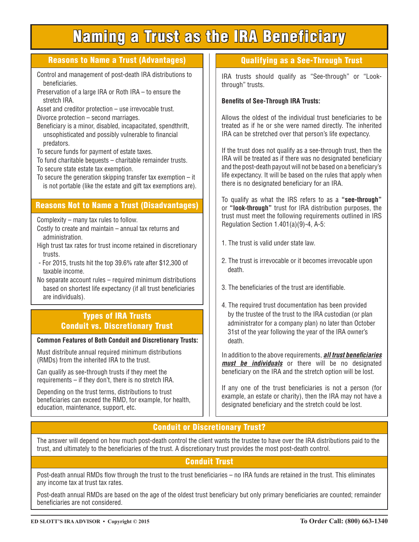# Naming a Trust as the IRA Beneficiary

#### Reasons to Name a Trust (Advantages)

- Control and management of post-death IRA distributions to beneficiaries.
- Preservation of a large IRA or Roth IRA to ensure the stretch IRA.
- Asset and creditor protection use irrevocable trust. Divorce protection – second marriages.
- Beneficiary is a minor, disabled, incapacitated, spendthrift, unsophisticated and possibly vulnerable to financial predators.
- To secure funds for payment of estate taxes.
- To fund charitable bequests charitable remainder trusts. To secure state estate tax exemption.
- To secure the generation skipping transfer tax exemption it is not portable (like the estate and gift tax exemptions are).

## Reasons Not to Name a Trust (Disadvantages)

Complexity – many tax rules to follow.

- Costly to create and maintain annual tax returns and administration.
- High trust tax rates for trust income retained in discretionary trusts.
- For 2015, trusts hit the top 39.6% rate after \$12,300 of taxable income.
- No separate account rules required minimum distributions based on shortest life expectancy (if all trust beneficiaries are individuals).

#### Types of IRA Trusts Conduit vs. Discretionary Trust

#### **Common Features of Both Conduit and Discretionary Trusts:**

Must distribute annual required minimum distributions (RMDs) from the inherited IRA to the trust.

Can qualify as see-through trusts if they meet the requirements – if they don't, there is no stretch IRA.

Depending on the trust terms, distributions to trust beneficiaries can exceed the RMD, for example, for health, education, maintenance, support, etc.

## Qualifying as a See-Through Trust

IRA trusts should qualify as "See-through" or "Lookthrough" trusts.

#### **Benefits of See-Through IRA Trusts:**

Allows the oldest of the individual trust beneficiaries to be treated as if he or she were named directly. The inherited IRA can be stretched over that person's life expectancy.

If the trust does not qualify as a see-through trust, then the IRA will be treated as if there was no designated beneficiary and the post-death payout will not be based on a beneficiary's life expectancy. It will be based on the rules that apply when there is no designated beneficiary for an IRA.

To qualify as what the IRS refers to as a **"see-through"** or **"look-through"** trust for IRA distribution purposes, the trust must meet the following requirements outlined in IRS Regulation Section 1.401(a)(9)-4, A-5:

- 1. The trust is valid under state law.
- 2. The trust is irrevocable or it becomes irrevocable upon death.
- 3. The beneficiaries of the trust are identifiable.
- 4. The required trust documentation has been provided by the trustee of the trust to the IRA custodian (or plan administrator for a company plan) no later than October 31st of the year following the year of the IRA owner's death.

In addition to the above requirements, *all trust beneficiaries must be individuals* or there will be no designated beneficiary on the IRA and the stretch option will be lost.

If any one of the trust beneficiaries is not a person (for example, an estate or charity), then the IRA may not have a designated beneficiary and the stretch could be lost.

## Conduit or Discretionary Trust?

The answer will depend on how much post-death control the client wants the trustee to have over the IRA distributions paid to the trust, and ultimately to the beneficiaries of the trust. A discretionary trust provides the most post-death control.

## Conduit Trust

Post-death annual RMDs flow through the trust to the trust beneficiaries – no IRA funds are retained in the trust. This eliminates any income tax at trust tax rates.

Post-death annual RMDs are based on the age of the oldest trust beneficiary but only primary beneficiaries are counted; remainder beneficiaries are not considered.